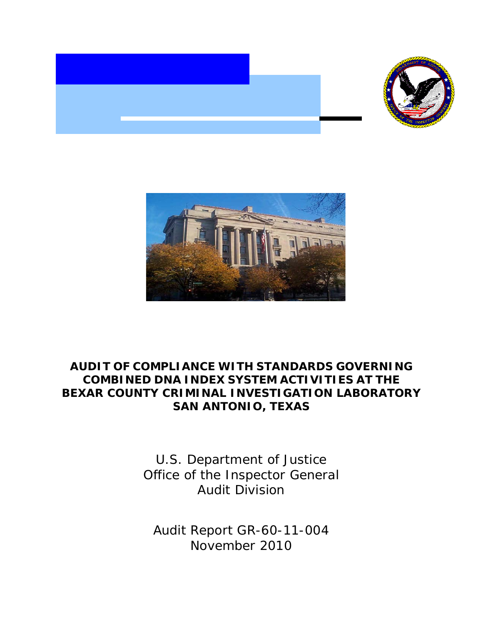



# **AUDIT OF COMPLIANCE WITH STANDARDS GOVERNING COMBINED DNA INDEX SYSTEM ACTIVITIES AT THE BEXAR COUNTY CRIMINAL INVESTIGATION LABORATORY SAN ANTONIO, TEXAS**

U.S. Department of Justice Office of the Inspector General Audit Division

Audit Report GR-60-11-004 November 2010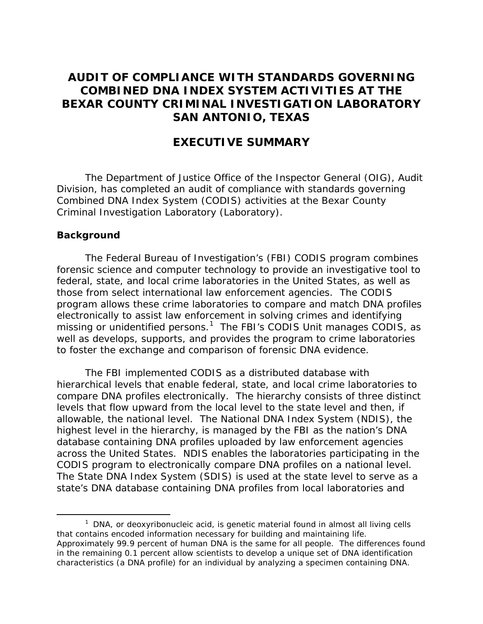## **AUDIT OF COMPLIANCE WITH STANDARDS GOVERNING COMBINED DNA INDEX SYSTEM ACTIVITIES AT THE BEXAR COUNTY CRIMINAL INVESTIGATION LABORATORY SAN ANTONIO, TEXAS**

## **EXECUTIVE SUMMARY**

The Department of Justice Office of the Inspector General (OIG), Audit Division, has completed an audit of compliance with standards governing Combined DNA Index System (CODIS) activities at the Bexar County Criminal Investigation Laboratory (Laboratory).

#### **Background**

The Federal Bureau of Investigation's (FBI) CODIS program combines forensic science and computer technology to provide an investigative tool to federal, state, and local crime laboratories in the United States, as well as those from select international law enforcement agencies. The CODIS program allows these crime laboratories to compare and match DNA profiles electronically to assist law enforcement in solving crimes and identifying missing or unidentified persons.<sup>[1](#page-1-0)</sup> The FBI's CODIS Unit manages CODIS, as well as develops, supports, and provides the program to crime laboratories to foster the exchange and comparison of forensic DNA evidence.

The FBI implemented CODIS as a distributed database with hierarchical levels that enable federal, state, and local crime laboratories to compare DNA profiles electronically. The hierarchy consists of three distinct levels that flow upward from the local level to the state level and then, if allowable, the national level. The National DNA Index System (NDIS), the highest level in the hierarchy, is managed by the FBI as the nation's DNA database containing DNA profiles uploaded by law enforcement agencies across the United States. NDIS enables the laboratories participating in the CODIS program to electronically compare DNA profiles on a national level. The State DNA Index System (SDIS) is used at the state level to serve as a state's DNA database containing DNA profiles from local laboratories and

<span id="page-1-0"></span> $1$  DNA, or deoxyribonucleic acid, is genetic material found in almost all living cells that contains encoded information necessary for building and maintaining life. Approximately 99.9 percent of human DNA is the same for all people. The differences found in the remaining 0.1 percent allow scientists to develop a unique set of DNA identification characteristics (a DNA profile) for an individual by analyzing a specimen containing DNA.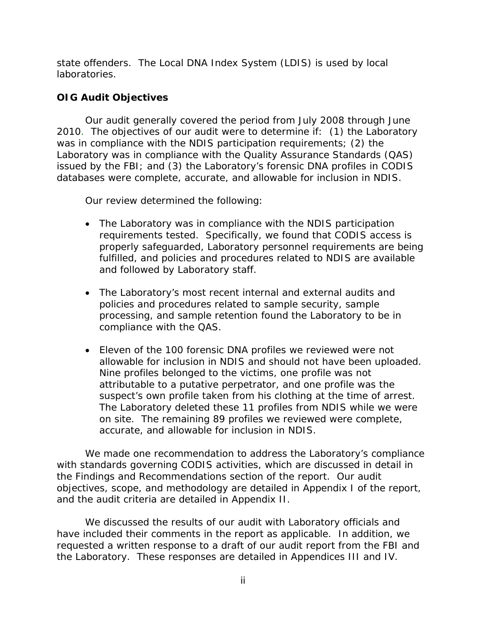state offenders. The Local DNA Index System (LDIS) is used by local laboratories.

## **OIG Audit Objectives**

Our audit generally covered the period from July 2008 through June 2010. The objectives of our audit were to determine if: (1) the Laboratory was in compliance with the NDIS participation requirements; (2) the Laboratory was in compliance with the Quality Assurance Standards (QAS) issued by the FBI; and (3) the Laboratory's forensic DNA profiles in CODIS databases were complete, accurate, and allowable for inclusion in NDIS.

Our review determined the following:

- The Laboratory was in compliance with the NDIS participation requirements tested. Specifically, we found that CODIS access is properly safeguarded, Laboratory personnel requirements are being fulfilled, and policies and procedures related to NDIS are available and followed by Laboratory staff.
- The Laboratory's most recent internal and external audits and policies and procedures related to sample security, sample processing, and sample retention found the Laboratory to be in compliance with the QAS.
- Eleven of the 100 forensic DNA profiles we reviewed were not allowable for inclusion in NDIS and should not have been uploaded. Nine profiles belonged to the victims, one profile was not attributable to a putative perpetrator, and one profile was the suspect's own profile taken from his clothing at the time of arrest. The Laboratory deleted these 11 profiles from NDIS while we were on site. The remaining 89 profiles we reviewed were complete, accurate, and allowable for inclusion in NDIS.

We made one recommendation to address the Laboratory's compliance with standards governing CODIS activities, which are discussed in detail in the Findings and Recommendations section of the report. Our audit objectives, scope, and methodology are detailed in Appendix I of the report, and the audit criteria are detailed in Appendix II.

We discussed the results of our audit with Laboratory officials and have included their comments in the report as applicable. In addition, we requested a written response to a draft of our audit report from the FBI and the Laboratory. These responses are detailed in Appendices III and IV.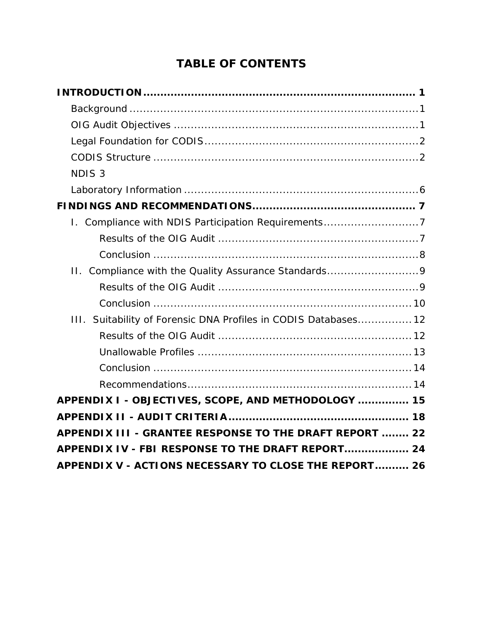# **TABLE OF CONTENTS**

| NDIS <sub>3</sub>                                               |  |
|-----------------------------------------------------------------|--|
|                                                                 |  |
|                                                                 |  |
| I. Compliance with NDIS Participation Requirements7             |  |
|                                                                 |  |
|                                                                 |  |
| II. Compliance with the Quality Assurance Standards9            |  |
|                                                                 |  |
|                                                                 |  |
| III. Suitability of Forensic DNA Profiles in CODIS Databases 12 |  |
|                                                                 |  |
|                                                                 |  |
|                                                                 |  |
|                                                                 |  |
| APPENDIX I - OBJECTIVES, SCOPE, AND METHODOLOGY  15             |  |
|                                                                 |  |
| APPENDIX III - GRANTEE RESPONSE TO THE DRAFT REPORT  22         |  |
| APPENDIX IV - FBI RESPONSE TO THE DRAFT REPORT 24               |  |
| APPENDIX V - ACTIONS NECESSARY TO CLOSE THE REPORT 26           |  |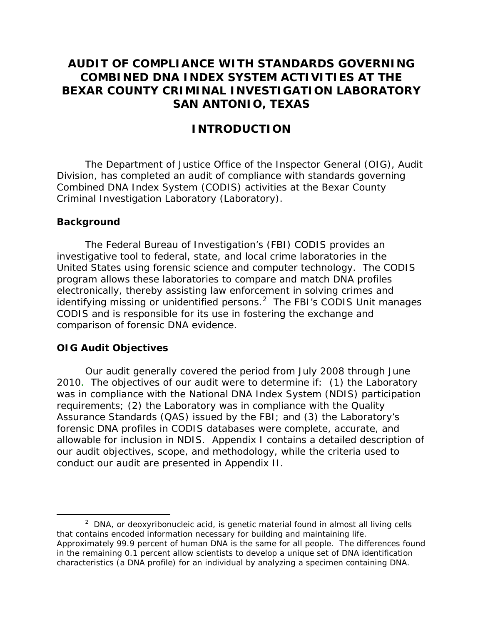# **AUDIT OF COMPLIANCE WITH STANDARDS GOVERNING COMBINED DNA INDEX SYSTEM ACTIVITIES AT THE BEXAR COUNTY CRIMINAL INVESTIGATION LABORATORY SAN ANTONIO, TEXAS**

## **INTRODUCTION**

The Department of Justice Office of the Inspector General (OIG), Audit Division, has completed an audit of compliance with standards governing Combined DNA Index System (CODIS) activities at the Bexar County Criminal Investigation Laboratory (Laboratory).

#### **Background**

The Federal Bureau of Investigation's (FBI) CODIS provides an investigative tool to federal, state, and local crime laboratories in the United States using forensic science and computer technology. The CODIS program allows these laboratories to compare and match DNA profiles electronically, thereby assisting law enforcement in solving crimes and identifying missing or unidentified persons. $2$  The FBI's CODIS Unit manages CODIS and is responsible for its use in fostering the exchange and comparison of forensic DNA evidence.

#### **OIG Audit Objectives**

Our audit generally covered the period from July 2008 through June 2010. The objectives of our audit were to determine if: (1) the Laboratory was in compliance with the National DNA Index System (NDIS) participation requirements; (2) the Laboratory was in compliance with the Quality Assurance Standards (QAS) issued by the FBI; and (3) the Laboratory's forensic DNA profiles in CODIS databases were complete, accurate, and allowable for inclusion in NDIS. Appendix I contains a detailed description of our audit objectives, scope, and methodology, while the criteria used to conduct our audit are presented in Appendix II.

<span id="page-4-0"></span> $2$  DNA, or deoxyribonucleic acid, is genetic material found in almost all living cells that contains encoded information necessary for building and maintaining life. Approximately 99.9 percent of human DNA is the same for all people. The differences found in the remaining 0.1 percent allow scientists to develop a unique set of DNA identification characteristics (a DNA profile) for an individual by analyzing a specimen containing DNA.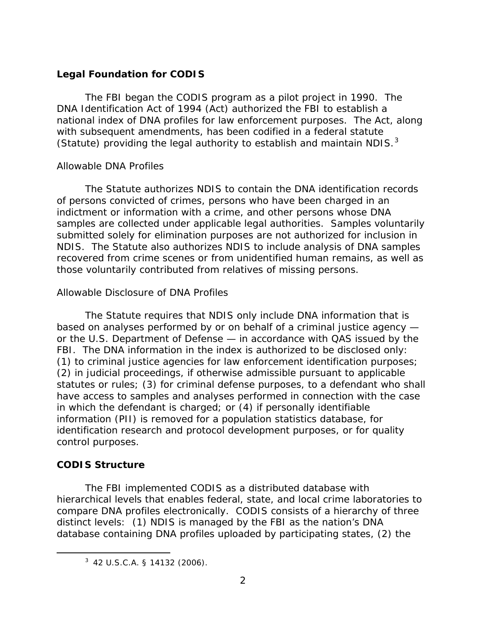## **Legal Foundation for CODIS**

The FBI began the CODIS program as a pilot project in 1990. The DNA Identification Act of 1994 (Act) authorized the FBI to establish a national index of DNA profiles for law enforcement purposes. The Act, along with subsequent amendments, has been codified in a federal statute (Statute) providing the legal authority to establish and maintain NDIS. $3$ 

### *Allowable DNA Profiles*

The Statute authorizes NDIS to contain the DNA identification records of persons convicted of crimes, persons who have been charged in an indictment or information with a crime, and other persons whose DNA samples are collected under applicable legal authorities. Samples voluntarily submitted solely for elimination purposes are not authorized for inclusion in NDIS. The Statute also authorizes NDIS to include analysis of DNA samples recovered from crime scenes or from unidentified human remains, as well as those voluntarily contributed from relatives of missing persons.

## *Allowable Disclosure of DNA Profiles*

The Statute requires that NDIS only include DNA information that is based on analyses performed by or on behalf of a criminal justice agency or the U.S. Department of Defense — in accordance with QAS issued by the FBI. The DNA information in the index is authorized to be disclosed only: (1) to criminal justice agencies for law enforcement identification purposes; (2) in judicial proceedings, if otherwise admissible pursuant to applicable statutes or rules; (3) for criminal defense purposes, to a defendant who shall have access to samples and analyses performed in connection with the case in which the defendant is charged; or (4) if personally identifiable information (PII) is removed for a population statistics database, for identification research and protocol development purposes, or for quality control purposes.

## **CODIS Structure**

The FBI implemented CODIS as a distributed database with hierarchical levels that enables federal, state, and local crime laboratories to compare DNA profiles electronically. CODIS consists of a hierarchy of three distinct levels: (1) NDIS is managed by the FBI as the nation's DNA database containing DNA profiles uploaded by participating states, (2) the

<span id="page-5-0"></span> <sup>3</sup> 42 U.S.C.A. § 14132 (2006).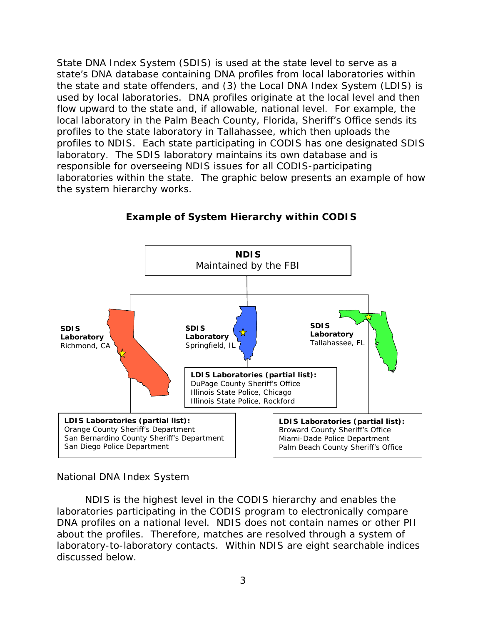State DNA Index System (SDIS) is used at the state level to serve as a state's DNA database containing DNA profiles from local laboratories within the state and state offenders, and (3) the Local DNA Index System (LDIS) is used by local laboratories. DNA profiles originate at the local level and then flow upward to the state and, if allowable, national level. For example, the local laboratory in the Palm Beach County, Florida, Sheriff's Office sends its profiles to the state laboratory in Tallahassee, which then uploads the profiles to NDIS. Each state participating in CODIS has one designated SDIS laboratory. The SDIS laboratory maintains its own database and is responsible for overseeing NDIS issues for all CODIS-participating laboratories within the state. The graphic below presents an example of how the system hierarchy works.



## **Example of System Hierarchy within CODIS**

#### *National DNA Index System*

NDIS is the highest level in the CODIS hierarchy and enables the laboratories participating in the CODIS program to electronically compare DNA profiles on a national level. NDIS does not contain names or other PII about the profiles. Therefore, matches are resolved through a system of laboratory-to-laboratory contacts. Within NDIS are eight searchable indices discussed below.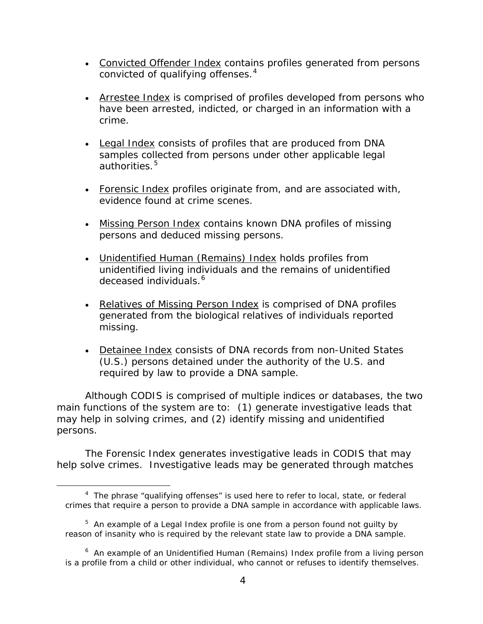- Convicted Offender Index contains profiles generated from persons convicted of qualifying offenses. $4$
- Arrestee Index is comprised of profiles developed from persons who have been arrested, indicted, or charged in an information with a crime.
- Legal Index consists of profiles that are produced from DNA samples collected from persons under other applicable legal authorities. $5$
- Forensic Index profiles originate from, and are associated with, evidence found at crime scenes.
- Missing Person Index contains known DNA profiles of missing persons and deduced missing persons.
- Unidentified Human (Remains) Index holds profiles from unidentified living individuals and the remains of unidentified deceased individuals.<sup>[6](#page-7-2)</sup>
- Relatives of Missing Person Index is comprised of DNA profiles generated from the biological relatives of individuals reported missing.
- Detainee Index consists of DNA records from non-United States (U.S.) persons detained under the authority of the U.S. and required by law to provide a DNA sample.

Although CODIS is comprised of multiple indices or databases, the two main functions of the system are to: (1) generate investigative leads that may help in solving crimes, and (2) identify missing and unidentified persons.

The Forensic Index generates investigative leads in CODIS that may help solve crimes. Investigative leads may be generated through matches

<span id="page-7-0"></span> <sup>4</sup> The phrase "qualifying offenses" is used here to refer to local, state, or federal crimes that require a person to provide a DNA sample in accordance with applicable laws.

<span id="page-7-1"></span> $5$  An example of a Legal Index profile is one from a person found not guilty by reason of insanity who is required by the relevant state law to provide a DNA sample.

<span id="page-7-2"></span><sup>&</sup>lt;sup>6</sup> An example of an Unidentified Human (Remains) Index profile from a living person is a profile from a child or other individual, who cannot or refuses to identify themselves.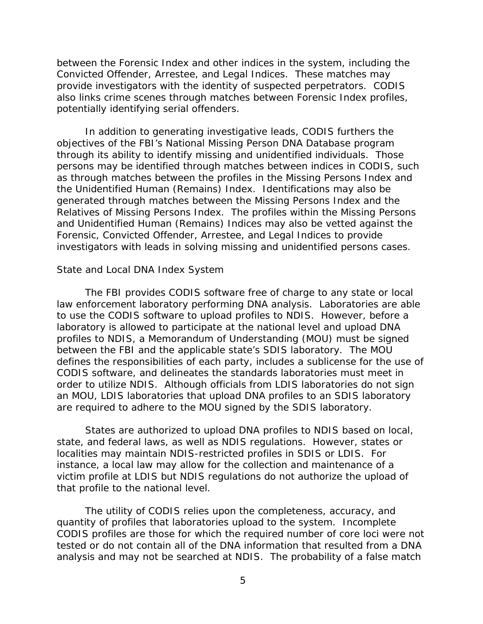between the Forensic Index and other indices in the system, including the Convicted Offender, Arrestee, and Legal Indices. These matches may provide investigators with the identity of suspected perpetrators. CODIS also links crime scenes through matches between Forensic Index profiles, potentially identifying serial offenders.

In addition to generating investigative leads, CODIS furthers the objectives of the FBI's National Missing Person DNA Database program through its ability to identify missing and unidentified individuals. Those persons may be identified through matches between indices in CODIS, such as through matches between the profiles in the Missing Persons Index and the Unidentified Human (Remains) Index. Identifications may also be generated through matches between the Missing Persons Index and the Relatives of Missing Persons Index. The profiles within the Missing Persons and Unidentified Human (Remains) Indices may also be vetted against the Forensic, Convicted Offender, Arrestee, and Legal Indices to provide investigators with leads in solving missing and unidentified persons cases.

#### *State and Local DNA Index System*

The FBI provides CODIS software free of charge to any state or local law enforcement laboratory performing DNA analysis. Laboratories are able to use the CODIS software to upload profiles to NDIS. However, before a laboratory is allowed to participate at the national level and upload DNA profiles to NDIS, a Memorandum of Understanding (MOU) must be signed between the FBI and the applicable state's SDIS laboratory. The MOU defines the responsibilities of each party, includes a sublicense for the use of CODIS software, and delineates the standards laboratories must meet in order to utilize NDIS. Although officials from LDIS laboratories do not sign an MOU, LDIS laboratories that upload DNA profiles to an SDIS laboratory are required to adhere to the MOU signed by the SDIS laboratory.

States are authorized to upload DNA profiles to NDIS based on local, state, and federal laws, as well as NDIS regulations. However, states or localities may maintain NDIS-restricted profiles in SDIS or LDIS. For instance, a local law may allow for the collection and maintenance of a victim profile at LDIS but NDIS regulations do not authorize the upload of that profile to the national level.

The utility of CODIS relies upon the completeness, accuracy, and quantity of profiles that laboratories upload to the system. Incomplete CODIS profiles are those for which the required number of core loci were not tested or do not contain all of the DNA information that resulted from a DNA analysis and may not be searched at NDIS. The probability of a false match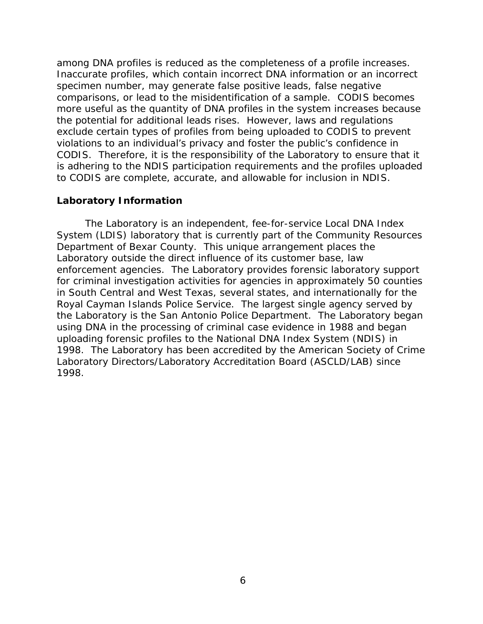among DNA profiles is reduced as the completeness of a profile increases. Inaccurate profiles, which contain incorrect DNA information or an incorrect specimen number, may generate false positive leads, false negative comparisons, or lead to the misidentification of a sample. CODIS becomes more useful as the quantity of DNA profiles in the system increases because the potential for additional leads rises. However, laws and regulations exclude certain types of profiles from being uploaded to CODIS to prevent violations to an individual's privacy and foster the public's confidence in CODIS. Therefore, it is the responsibility of the Laboratory to ensure that it is adhering to the NDIS participation requirements and the profiles uploaded to CODIS are complete, accurate, and allowable for inclusion in NDIS.

#### **Laboratory Information**

The Laboratory is an independent, fee-for-service Local DNA Index System (LDIS) laboratory that is currently part of the Community Resources Department of Bexar County. This unique arrangement places the Laboratory outside the direct influence of its customer base, law enforcement agencies. The Laboratory provides forensic laboratory support for criminal investigation activities for agencies in approximately 50 counties in South Central and West Texas, several states, and internationally for the Royal Cayman Islands Police Service. The largest single agency served by the Laboratory is the San Antonio Police Department. The Laboratory began using DNA in the processing of criminal case evidence in 1988 and began uploading forensic profiles to the National DNA Index System (NDIS) in 1998. The Laboratory has been accredited by the American Society of Crime Laboratory Directors/Laboratory Accreditation Board (ASCLD/LAB) since 1998.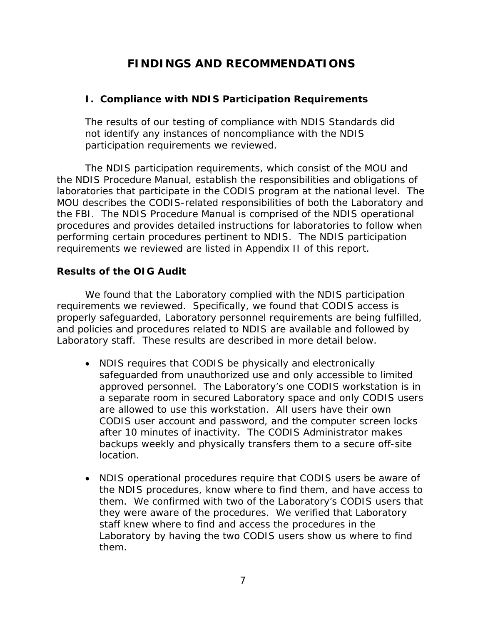# **FINDINGS AND RECOMMENDATIONS**

## **I. Compliance with NDIS Participation Requirements**

The results of our testing of compliance with NDIS Standards did not identify any instances of noncompliance with the NDIS participation requirements we reviewed.

The NDIS participation requirements, which consist of the MOU and the NDIS Procedure Manual, establish the responsibilities and obligations of laboratories that participate in the CODIS program at the national level. The MOU describes the CODIS-related responsibilities of both the Laboratory and the FBI. The NDIS Procedure Manual is comprised of the NDIS operational procedures and provides detailed instructions for laboratories to follow when performing certain procedures pertinent to NDIS. The NDIS participation requirements we reviewed are listed in Appendix II of this report.

### **Results of the OIG Audit**

We found that the Laboratory complied with the NDIS participation requirements we reviewed. Specifically, we found that CODIS access is properly safeguarded, Laboratory personnel requirements are being fulfilled, and policies and procedures related to NDIS are available and followed by Laboratory staff. These results are described in more detail below.

- NDIS requires that CODIS be physically and electronically safeguarded from unauthorized use and only accessible to limited approved personnel. The Laboratory's one CODIS workstation is in a separate room in secured Laboratory space and only CODIS users are allowed to use this workstation. All users have their own CODIS user account and password, and the computer screen locks after 10 minutes of inactivity. The CODIS Administrator makes backups weekly and physically transfers them to a secure off-site location.
- NDIS operational procedures require that CODIS users be aware of the NDIS procedures, know where to find them, and have access to them. We confirmed with two of the Laboratory's CODIS users that they were aware of the procedures. We verified that Laboratory staff knew where to find and access the procedures in the Laboratory by having the two CODIS users show us where to find them.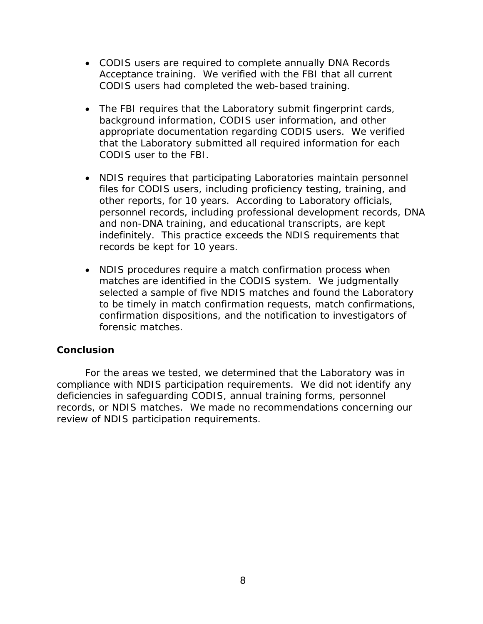- CODIS users are required to complete annually DNA Records Acceptance training. We verified with the FBI that all current CODIS users had completed the web-based training.
- The FBI requires that the Laboratory submit fingerprint cards, background information, CODIS user information, and other appropriate documentation regarding CODIS users. We verified that the Laboratory submitted all required information for each CODIS user to the FBI.
- NDIS requires that participating Laboratories maintain personnel files for CODIS users, including proficiency testing, training, and other reports, for 10 years. According to Laboratory officials, personnel records, including professional development records, DNA and non-DNA training, and educational transcripts, are kept indefinitely. This practice exceeds the NDIS requirements that records be kept for 10 years.
- NDIS procedures require a match confirmation process when matches are identified in the CODIS system. We judgmentally selected a sample of five NDIS matches and found the Laboratory to be timely in match confirmation requests, match confirmations, confirmation dispositions, and the notification to investigators of forensic matches.

### **Conclusion**

For the areas we tested, we determined that the Laboratory was in compliance with NDIS participation requirements. We did not identify any deficiencies in safeguarding CODIS, annual training forms, personnel records, or NDIS matches. We made no recommendations concerning our review of NDIS participation requirements.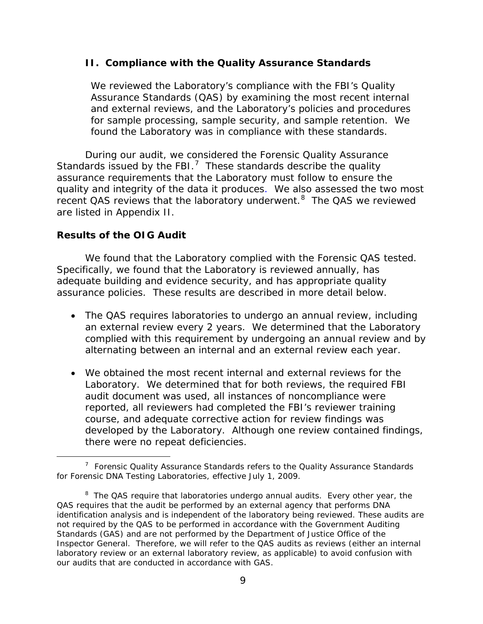#### **II. Compliance with the Quality Assurance Standards**

We reviewed the Laboratory's compliance with the FBI's Quality Assurance Standards (QAS) by examining the most recent internal and external reviews, and the Laboratory's policies and procedures for sample processing, sample security, and sample retention. We found the Laboratory was in compliance with these standards.

During our audit, we considered the Forensic Quality Assurance Standards issued by the FBI.<sup>[7](#page-12-0)</sup> These standards describe the quality assurance requirements that the Laboratory must follow to ensure the quality and integrity of the data it produces. We also assessed the two most recent QAS reviews that the laboratory underwent.<sup>[8](#page-12-1)</sup> The QAS we reviewed are listed in Appendix II.

### **Results of the OIG Audit**

We found that the Laboratory complied with the Forensic QAS tested. Specifically, we found that the Laboratory is reviewed annually, has adequate building and evidence security, and has appropriate quality assurance policies. These results are described in more detail below.

- The QAS requires laboratories to undergo an annual review, including an external review every 2 years. We determined that the Laboratory complied with this requirement by undergoing an annual review and by alternating between an internal and an external review each year.
- We obtained the most recent internal and external reviews for the Laboratory. We determined that for both reviews, the required FBI audit document was used, all instances of noncompliance were reported, all reviewers had completed the FBI's reviewer training course, and adequate corrective action for review findings was developed by the Laboratory. Although one review contained findings, there were no repeat deficiencies.

<span id="page-12-0"></span> $\overline{7}$  $7$  Forensic Quality Assurance Standards refers to the Quality Assurance Standards for Forensic DNA Testing Laboratories, effective July 1, 2009.

<span id="page-12-1"></span><sup>&</sup>lt;sup>8</sup> The QAS require that laboratories undergo annual audits. Every other year, the QAS requires that the audit be performed by an external agency that performs DNA identification analysis and is independent of the laboratory being reviewed. These audits are not required by the QAS to be performed in accordance with the *Government Auditing Standards* (GAS) and are not performed by the Department of Justice Office of the Inspector General. Therefore, we will refer to the QAS audits as reviews (either an internal laboratory review or an external laboratory review, as applicable) to avoid confusion with our audits that are conducted in accordance with GAS.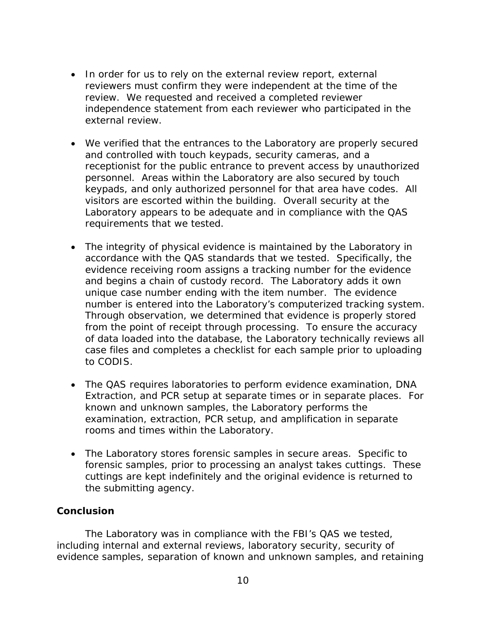- In order for us to rely on the external review report, external reviewers must confirm they were independent at the time of the review. We requested and received a completed reviewer independence statement from each reviewer who participated in the external review.
- We verified that the entrances to the Laboratory are properly secured and controlled with touch keypads, security cameras, and a receptionist for the public entrance to prevent access by unauthorized personnel. Areas within the Laboratory are also secured by touch keypads, and only authorized personnel for that area have codes. All visitors are escorted within the building. Overall security at the Laboratory appears to be adequate and in compliance with the QAS requirements that we tested.
- The integrity of physical evidence is maintained by the Laboratory in accordance with the QAS standards that we tested. Specifically, the evidence receiving room assigns a tracking number for the evidence and begins a chain of custody record. The Laboratory adds it own unique case number ending with the item number. The evidence number is entered into the Laboratory's computerized tracking system. Through observation, we determined that evidence is properly stored from the point of receipt through processing. To ensure the accuracy of data loaded into the database, the Laboratory technically reviews all case files and completes a checklist for each sample prior to uploading to CODIS.
- The QAS requires laboratories to perform evidence examination, DNA Extraction, and PCR setup at separate times or in separate places. For known and unknown samples, the Laboratory performs the examination, extraction, PCR setup, and amplification in separate rooms and times within the Laboratory.
- The Laboratory stores forensic samples in secure areas. Specific to forensic samples, prior to processing an analyst takes cuttings. These cuttings are kept indefinitely and the original evidence is returned to the submitting agency.

### **Conclusion**

The Laboratory was in compliance with the FBI's QAS we tested, including internal and external reviews, laboratory security, security of evidence samples, separation of known and unknown samples, and retaining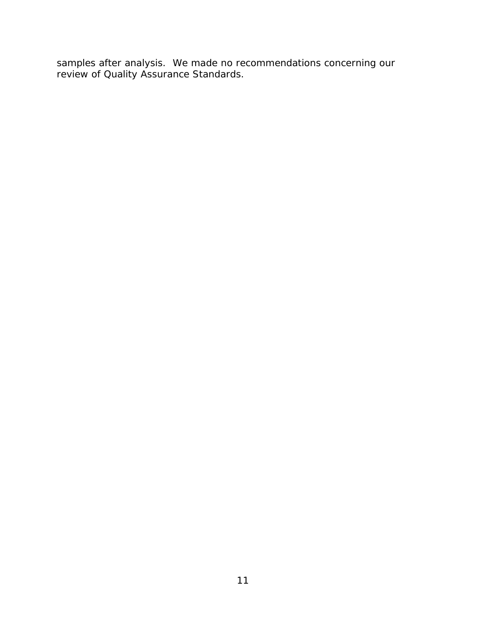samples after analysis. We made no recommendations concerning our review of Quality Assurance Standards.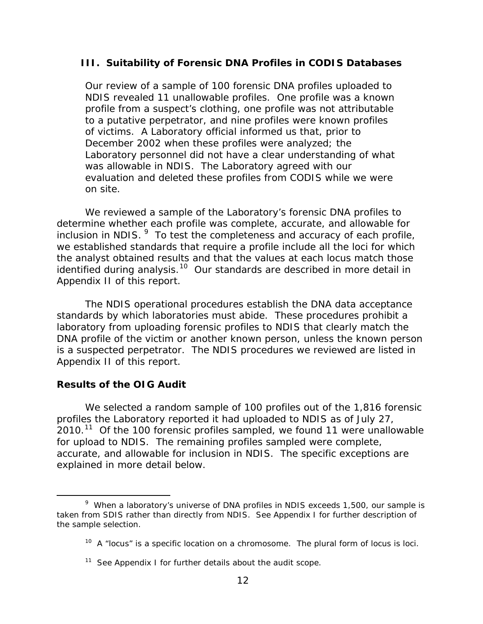#### **III. Suitability of Forensic DNA Profiles in CODIS Databases**

Our review of a sample of 100 forensic DNA profiles uploaded to NDIS revealed 11 unallowable profiles. One profile was a known profile from a suspect's clothing, one profile was not attributable to a putative perpetrator, and nine profiles were known profiles of victims. A Laboratory official informed us that, prior to December 2002 when these profiles were analyzed; the Laboratory personnel did not have a clear understanding of what was allowable in NDIS. The Laboratory agreed with our evaluation and deleted these profiles from CODIS while we were on site.

We reviewed a sample of the Laboratory's forensic DNA profiles to determine whether each profile was complete, accurate, and allowable for inclusion in NDIS.  $9\,$  $9\,$  To test the completeness and accuracy of each profile, we established standards that require a profile include all the loci for which the analyst obtained results and that the values at each locus match those identified during analysis.<sup>[10](#page-15-1)</sup> Our standards are described in more detail in Appendix II of this report.

The NDIS operational procedures establish the DNA data acceptance standards by which laboratories must abide. These procedures prohibit a laboratory from uploading forensic profiles to NDIS that clearly match the DNA profile of the victim or another known person, unless the known person is a suspected perpetrator. The NDIS procedures we reviewed are listed in Appendix II of this report.

#### **Results of the OIG Audit**

We selected a random sample of 100 profiles out of the 1,816 forensic profiles the Laboratory reported it had uploaded to NDIS as of July 27,  $2010.<sup>11</sup>$  $2010.<sup>11</sup>$  $2010.<sup>11</sup>$  Of the 100 forensic profiles sampled, we found 11 were unallowable for upload to NDIS. The remaining profiles sampled were complete, accurate, and allowable for inclusion in NDIS. The specific exceptions are explained in more detail below.

<span id="page-15-1"></span><span id="page-15-0"></span> <sup>9</sup>  $9$  When a laboratory's universe of DNA profiles in NDIS exceeds 1,500, our sample is taken from SDIS rather than directly from NDIS. See Appendix I for further description of the sample selection.

 $10$  A "locus" is a specific location on a chromosome. The plural form of locus is loci.

<span id="page-15-2"></span> $11$  See Appendix I for further details about the audit scope.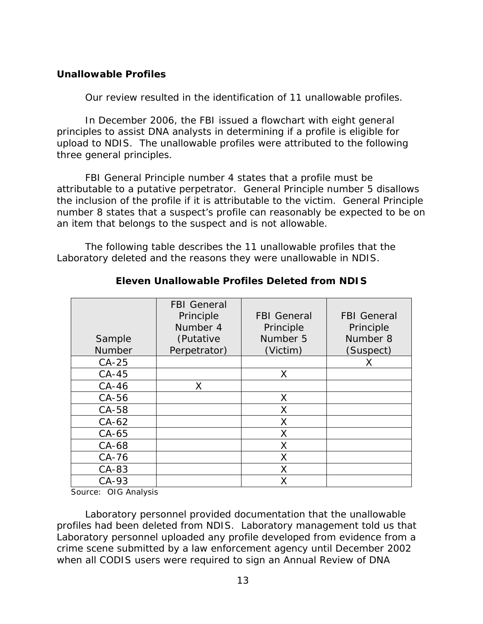## **Unallowable Profiles**

Our review resulted in the identification of 11 unallowable profiles.

In December 2006, the FBI issued a flowchart with eight general principles to assist DNA analysts in determining if a profile is eligible for upload to NDIS. The unallowable profiles were attributed to the following three general principles.

FBI General Principle number 4 states that a profile must be attributable to a putative perpetrator. General Principle number 5 disallows the inclusion of the profile if it is attributable to the victim. General Principle number 8 states that a suspect's profile can reasonably be expected to be on an item that belongs to the suspect and is not allowable.

The following table describes the 11 unallowable profiles that the Laboratory deleted and the reasons they were unallowable in NDIS.

| Sample<br><b>Number</b> | <b>FBI</b> General<br>Principle<br>Number 4<br>(Putative<br>Perpetrator) | <b>FBI</b> General<br>Principle<br>Number 5<br>(Victim) | <b>FBI</b> General<br>Principle<br>Number 8<br>(Suspect) |
|-------------------------|--------------------------------------------------------------------------|---------------------------------------------------------|----------------------------------------------------------|
| $CA-25$                 |                                                                          |                                                         | Χ                                                        |
| $CA-45$                 |                                                                          | X                                                       |                                                          |
| $CA-46$                 | Χ                                                                        |                                                         |                                                          |
| $CA-56$                 |                                                                          | $\chi$                                                  |                                                          |
| $CA-58$                 |                                                                          | $\chi$                                                  |                                                          |
| $CA-62$                 |                                                                          | $\chi$                                                  |                                                          |
| $CA-65$                 |                                                                          | $\chi$                                                  |                                                          |
| $CA-68$                 |                                                                          | $\chi$                                                  |                                                          |
| $CA-76$                 |                                                                          | $\chi$                                                  |                                                          |
| $CA-83$                 |                                                                          | X                                                       |                                                          |
| $CA-93$                 |                                                                          | X                                                       |                                                          |

## **Eleven Unallowable Profiles Deleted from NDIS**

Source: OIG Analysis

Laboratory personnel provided documentation that the unallowable profiles had been deleted from NDIS. Laboratory management told us that Laboratory personnel uploaded any profile developed from evidence from a crime scene submitted by a law enforcement agency until December 2002 when all CODIS users were required to sign an Annual Review of DNA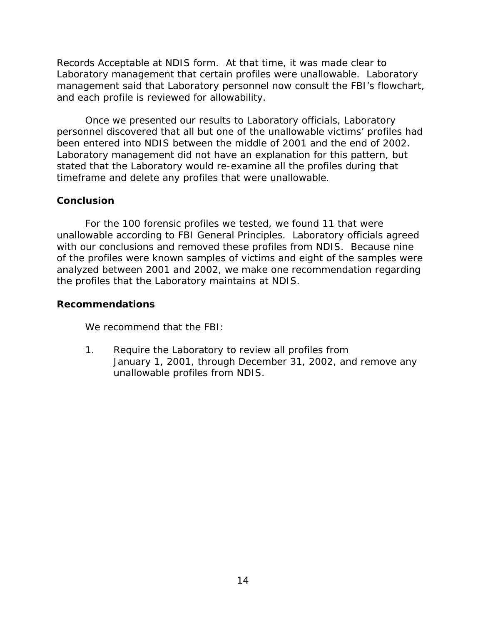Records Acceptable at NDIS form. At that time, it was made clear to Laboratory management that certain profiles were unallowable. Laboratory management said that Laboratory personnel now consult the FBI's flowchart, and each profile is reviewed for allowability.

Once we presented our results to Laboratory officials, Laboratory personnel discovered that all but one of the unallowable victims' profiles had been entered into NDIS between the middle of 2001 and the end of 2002. Laboratory management did not have an explanation for this pattern, but stated that the Laboratory would re-examine all the profiles during that timeframe and delete any profiles that were unallowable.

#### **Conclusion**

For the 100 forensic profiles we tested, we found 11 that were unallowable according to FBI General Principles. Laboratory officials agreed with our conclusions and removed these profiles from NDIS. Because nine of the profiles were known samples of victims and eight of the samples were analyzed between 2001 and 2002, we make one recommendation regarding the profiles that the Laboratory maintains at NDIS.

#### **Recommendations**

We recommend that the FBI:

1. Require the Laboratory to review all profiles from January 1, 2001, through December 31, 2002, and remove any unallowable profiles from NDIS.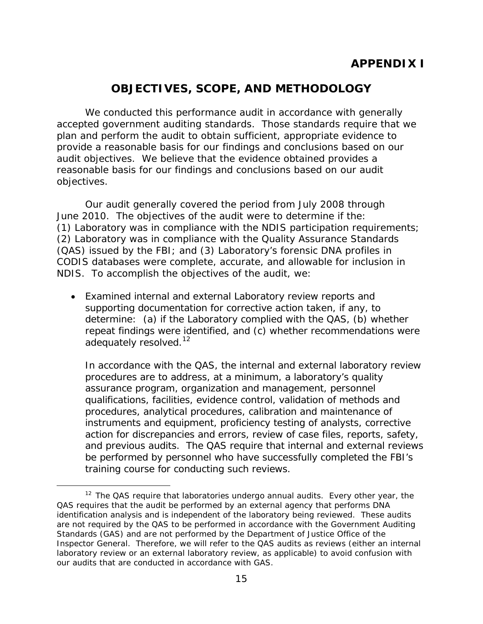# **OBJECTIVES, SCOPE, AND METHODOLOGY**

We conducted this performance audit in accordance with generally accepted government auditing standards. Those standards require that we plan and perform the audit to obtain sufficient, appropriate evidence to provide a reasonable basis for our findings and conclusions based on our audit objectives. We believe that the evidence obtained provides a reasonable basis for our findings and conclusions based on our audit objectives.

Our audit generally covered the period from July 2008 through June 2010. The objectives of the audit were to determine if the: (1) Laboratory was in compliance with the NDIS participation requirements; (2) Laboratory was in compliance with the Quality Assurance Standards (QAS) issued by the FBI; and (3) Laboratory's forensic DNA profiles in CODIS databases were complete, accurate, and allowable for inclusion in NDIS. To accomplish the objectives of the audit, we:

• Examined internal and external Laboratory review reports and supporting documentation for corrective action taken, if any, to determine: (a) if the Laboratory complied with the QAS, (b) whether repeat findings were identified, and (c) whether recommendations were adequately resolved.<sup>12</sup>

In accordance with the QAS, the internal and external laboratory review procedures are to address, at a minimum, a laboratory's quality assurance program, organization and management, personnel qualifications, facilities, evidence control, validation of methods and procedures, analytical procedures, calibration and maintenance of instruments and equipment, proficiency testing of analysts, corrective action for discrepancies and errors, review of case files, reports, safety, and previous audits. The QAS require that internal and external reviews be performed by personnel who have successfully completed the FBI's training course for conducting such reviews.

<span id="page-18-0"></span> $12$  The QAS require that laboratories undergo annual audits. Every other year, the QAS requires that the audit be performed by an external agency that performs DNA identification analysis and is independent of the laboratory being reviewed. These audits are not required by the QAS to be performed in accordance with the *Government Auditing Standards* (GAS) and are not performed by the Department of Justice Office of the Inspector General. Therefore, we will refer to the QAS audits as reviews (either an internal laboratory review or an external laboratory review, as applicable) to avoid confusion with our audits that are conducted in accordance with GAS.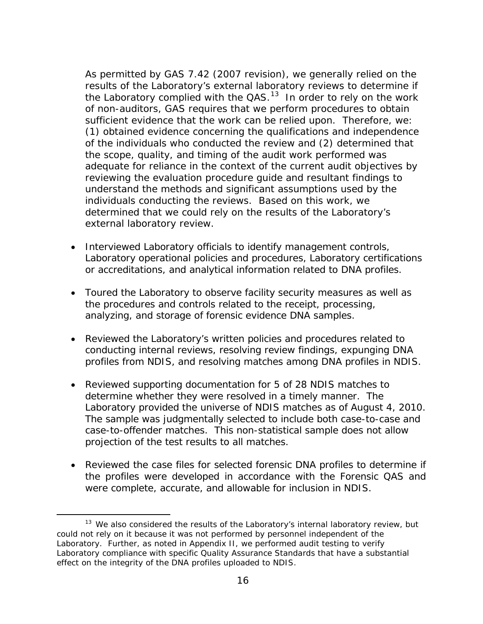As permitted by GAS 7.42 (2007 revision), we generally relied on the results of the Laboratory's external laboratory reviews to determine if the Laboratory complied with the  $QAS$ .<sup>[13](#page-19-0)</sup> In order to rely on the work of non-auditors, GAS requires that we perform procedures to obtain sufficient evidence that the work can be relied upon. Therefore, we: (1) obtained evidence concerning the qualifications and independence of the individuals who conducted the review and (2) determined that the scope, quality, and timing of the audit work performed was adequate for reliance in the context of the current audit objectives by reviewing the evaluation procedure guide and resultant findings to understand the methods and significant assumptions used by the individuals conducting the reviews. Based on this work, we determined that we could rely on the results of the Laboratory's external laboratory review.

- Interviewed Laboratory officials to identify management controls, Laboratory operational policies and procedures, Laboratory certifications or accreditations, and analytical information related to DNA profiles.
- Toured the Laboratory to observe facility security measures as well as the procedures and controls related to the receipt, processing, analyzing, and storage of forensic evidence DNA samples.
- Reviewed the Laboratory's written policies and procedures related to conducting internal reviews, resolving review findings, expunging DNA profiles from NDIS, and resolving matches among DNA profiles in NDIS.
- Reviewed supporting documentation for 5 of 28 NDIS matches to determine whether they were resolved in a timely manner. The Laboratory provided the universe of NDIS matches as of August 4, 2010. The sample was judgmentally selected to include both case-to-case and case-to-offender matches. This non-statistical sample does not allow projection of the test results to all matches.
- Reviewed the case files for selected forensic DNA profiles to determine if the profiles were developed in accordance with the Forensic QAS and were complete, accurate, and allowable for inclusion in NDIS.

<span id="page-19-0"></span><sup>&</sup>lt;sup>13</sup> We also considered the results of the Laboratory's internal laboratory review, but could not rely on it because it was not performed by personnel independent of the Laboratory. Further, as noted in Appendix II, we performed audit testing to verify Laboratory compliance with specific Quality Assurance Standards that have a substantial effect on the integrity of the DNA profiles uploaded to NDIS.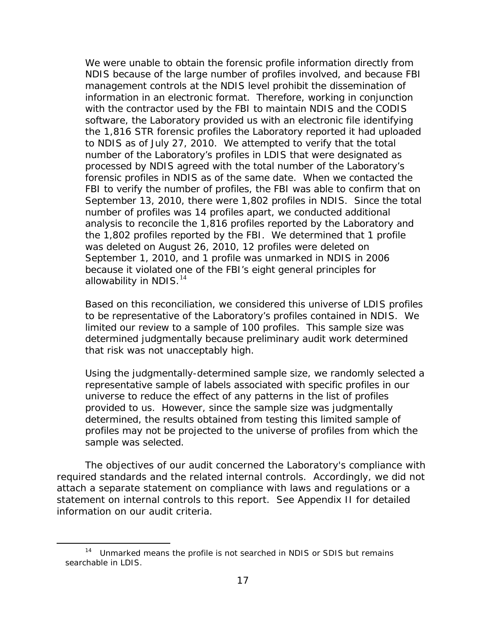We were unable to obtain the forensic profile information directly from NDIS because of the large number of profiles involved, and because FBI management controls at the NDIS level prohibit the dissemination of information in an electronic format. Therefore, working in conjunction with the contractor used by the FBI to maintain NDIS and the CODIS software, the Laboratory provided us with an electronic file identifying the 1,816 STR forensic profiles the Laboratory reported it had uploaded to NDIS as of July 27, 2010. We attempted to verify that the total number of the Laboratory's profiles in LDIS that were designated as processed by NDIS agreed with the total number of the Laboratory's forensic profiles in NDIS as of the same date. When we contacted the FBI to verify the number of profiles, the FBI was able to confirm that on September 13, 2010, there were 1,802 profiles in NDIS. Since the total number of profiles was 14 profiles apart, we conducted additional analysis to reconcile the 1,816 profiles reported by the Laboratory and the 1,802 profiles reported by the FBI. We determined that 1 profile was deleted on August 26, 2010, 12 profiles were deleted on September 1, 2010, and 1 profile was unmarked in NDIS in 2006 because it violated one of the FBI's eight general principles for allowability in NDIS. $^{14}$  $^{14}$  $^{14}$ 

Based on this reconciliation, we considered this universe of LDIS profiles to be representative of the Laboratory's profiles contained in NDIS. We limited our review to a sample of 100 profiles. This sample size was determined judgmentally because preliminary audit work determined that risk was not unacceptably high.

Using the judgmentally-determined sample size, we randomly selected a representative sample of labels associated with specific profiles in our universe to reduce the effect of any patterns in the list of profiles provided to us. However, since the sample size was judgmentally determined, the results obtained from testing this limited sample of profiles may not be projected to the universe of profiles from which the sample was selected.

The objectives of our audit concerned the Laboratory's compliance with required standards and the related internal controls. Accordingly, we did not attach a separate statement on compliance with laws and regulations or a statement on internal controls to this report. See Appendix II for detailed information on our audit criteria.

<span id="page-20-0"></span> <sup>14</sup> Unmarked means the profile is not searched in NDIS or SDIS but remains searchable in LDIS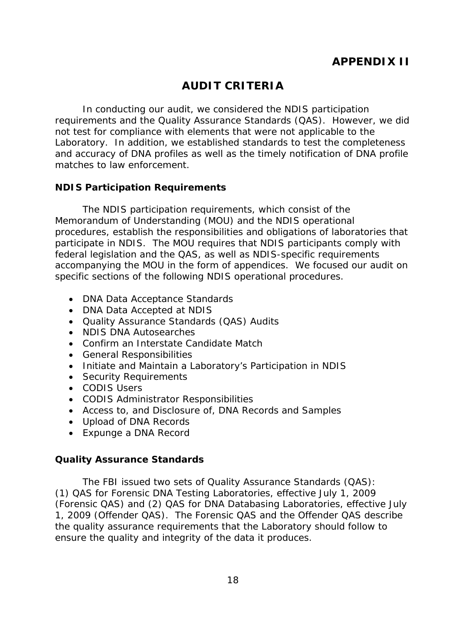# **AUDIT CRITERIA**

In conducting our audit, we considered the NDIS participation requirements and the Quality Assurance Standards (QAS). However, we did not test for compliance with elements that were not applicable to the Laboratory. In addition, we established standards to test the completeness and accuracy of DNA profiles as well as the timely notification of DNA profile matches to law enforcement.

## **NDIS Participation Requirements**

The NDIS participation requirements, which consist of the Memorandum of Understanding (MOU) and the NDIS operational procedures, establish the responsibilities and obligations of laboratories that participate in NDIS. The MOU requires that NDIS participants comply with federal legislation and the QAS, as well as NDIS-specific requirements accompanying the MOU in the form of appendices. We focused our audit on specific sections of the following NDIS operational procedures.

- DNA Data Acceptance Standards
- DNA Data Accepted at NDIS
- Quality Assurance Standards (QAS) Audits
- NDIS DNA Autosearches
- Confirm an Interstate Candidate Match
- General Responsibilities
- Initiate and Maintain a Laboratory's Participation in NDIS
- Security Requirements
- CODIS Users
- CODIS Administrator Responsibilities
- Access to, and Disclosure of, DNA Records and Samples
- Upload of DNA Records
- Expunge a DNA Record

## **Quality Assurance Standards**

The FBI issued two sets of Quality Assurance Standards (QAS): (1) QAS for Forensic DNA Testing Laboratories, effective July 1, 2009 (Forensic QAS) and (2) QAS for DNA Databasing Laboratories, effective July 1, 2009 (Offender QAS). The Forensic QAS and the Offender QAS describe the quality assurance requirements that the Laboratory should follow to ensure the quality and integrity of the data it produces.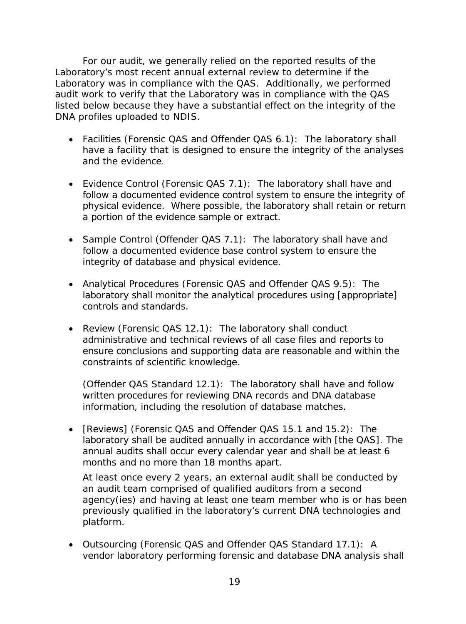For our audit, we generally relied on the reported results of the Laboratory's most recent annual external review to determine if the Laboratory was in compliance with the QAS. Additionally, we performed audit work to verify that the Laboratory was in compliance with the QAS listed below because they have a substantial effect on the integrity of the DNA profiles uploaded to NDIS.

- Facilities (Forensic QAS and Offender QAS 6.1): The laboratory shall have a facility that is designed to ensure the integrity of the analyses and the evidence.
- Evidence Control (Forensic QAS 7.1): The laboratory shall have and follow a documented evidence control system to ensure the integrity of physical evidence. Where possible, the laboratory shall retain or return a portion of the evidence sample or extract.
- Sample Control (Offender QAS 7.1): The laboratory shall have and follow a documented evidence base control system to ensure the integrity of database and physical evidence.
- Analytical Procedures (Forensic QAS and Offender QAS 9.5): The laboratory shall monitor the analytical procedures using [appropriate] controls and standards.
- Review (Forensic QAS 12.1): The laboratory shall conduct administrative and technical reviews of all case files and reports to ensure conclusions and supporting data are reasonable and within the constraints of scientific knowledge.

(Offender QAS Standard 12.1): The laboratory shall have and follow written procedures for reviewing DNA records and DNA database information, including the resolution of database matches.

• [Reviews] (Forensic QAS and Offender QAS 15.1 and 15.2): The laboratory shall be audited annually in accordance with [the QAS]. The annual audits shall occur every calendar year and shall be at least 6 months and no more than 18 months apart.

At least once every 2 years, an external audit shall be conducted by an audit team comprised of qualified auditors from a second agency(ies) and having at least one team member who is or has been previously qualified in the laboratory's current DNA technologies and platform.

• Outsourcing (Forensic QAS and Offender QAS Standard 17.1): A vendor laboratory performing forensic and database DNA analysis shall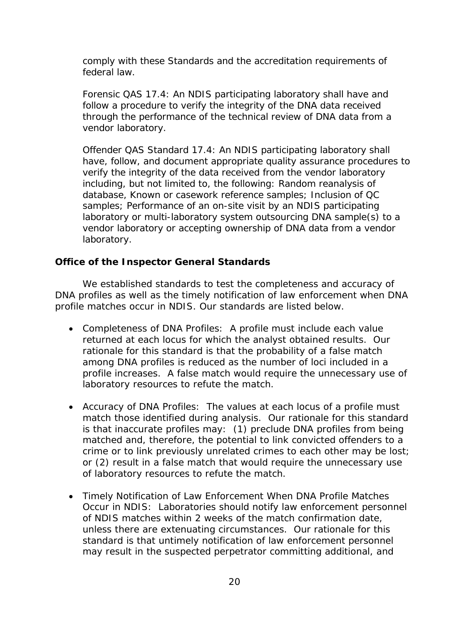comply with these Standards and the accreditation requirements of federal law.

Forensic QAS 17.4: An NDIS participating laboratory shall have and follow a procedure to verify the integrity of the DNA data received through the performance of the technical review of DNA data from a vendor laboratory.

Offender QAS Standard 17.4: An NDIS participating laboratory shall have, follow, and document appropriate quality assurance procedures to verify the integrity of the data received from the vendor laboratory including, but not limited to, the following: Random reanalysis of database, Known or casework reference samples; Inclusion of QC samples; Performance of an on-site visit by an NDIS participating laboratory or multi-laboratory system outsourcing DNA sample(s) to a vendor laboratory or accepting ownership of DNA data from a vendor laboratory.

## **Office of the Inspector General Standards**

We established standards to test the completeness and accuracy of DNA profiles as well as the timely notification of law enforcement when DNA profile matches occur in NDIS. Our standards are listed below.

- Completeness of DNA Profiles: A profile must include each value returned at each locus for which the analyst obtained results. Our rationale for this standard is that the probability of a false match among DNA profiles is reduced as the number of loci included in a profile increases. A false match would require the unnecessary use of laboratory resources to refute the match.
- Accuracy of DNA Profiles: The values at each locus of a profile must match those identified during analysis. Our rationale for this standard is that inaccurate profiles may: (1) preclude DNA profiles from being matched and, therefore, the potential to link convicted offenders to a crime or to link previously unrelated crimes to each other may be lost; or (2) result in a false match that would require the unnecessary use of laboratory resources to refute the match.
- Timely Notification of Law Enforcement When DNA Profile Matches Occur in NDIS: Laboratories should notify law enforcement personnel of NDIS matches within 2 weeks of the match confirmation date, unless there are extenuating circumstances. Our rationale for this standard is that untimely notification of law enforcement personnel may result in the suspected perpetrator committing additional, and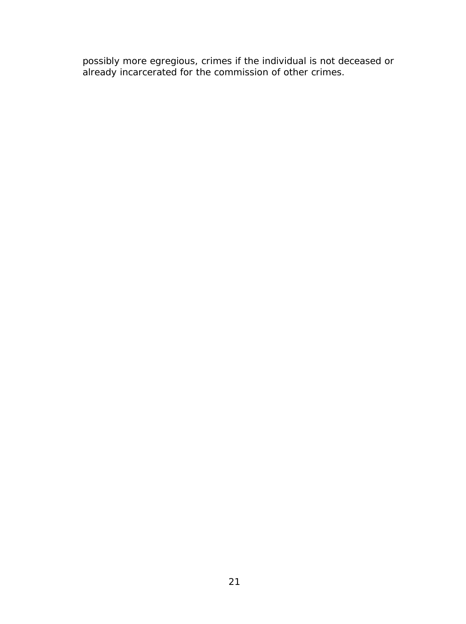possibly more egregious, crimes if the individual is not deceased or already incarcerated for the commission of other crimes.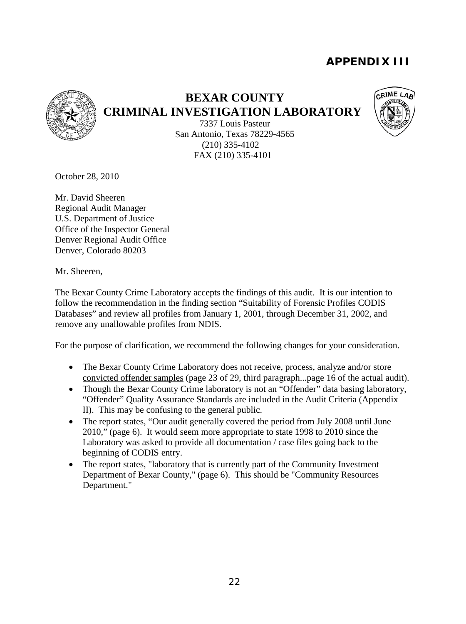# **APPENDIX III**



## **BEXAR COUNTY**

**CRIMINAL INVESTIGATION LABORATORY**



7337 Louis Pasteur San Antonio, Texas 78229-4565 (210) 335-4102 FAX (210) 335-4101

October 28, 2010

Mr. David Sheeren Regional Audit Manager U.S. Department of Justice Office of the Inspector General Denver Regional Audit Office Denver, Colorado 80203

Mr. Sheeren,

The Bexar County Crime Laboratory accepts the findings of this audit. It is our intention to follow the recommendation in the finding section "Suitability of Forensic Profiles CODIS Databases" and review all profiles from January 1, 2001, through December 31, 2002, and remove any unallowable profiles from NDIS.

For the purpose of clarification, we recommend the following changes for your consideration.

- The Bexar County Crime Laboratory does not receive, process, analyze and/or store convicted offender samples (page 23 of 29, third paragraph...page 16 of the actual audit).
- Though the Bexar County Crime laboratory is not an "Offender" data basing laboratory, "Offender" Quality Assurance Standards are included in the Audit Criteria (Appendix II). This may be confusing to the general public.
- The report states, "Our audit generally covered the period from July 2008 until June 2010," (page 6). It would seem more appropriate to state 1998 to 2010 since the Laboratory was asked to provide all documentation / case files going back to the beginning of CODIS entry.
- The report states, "laboratory that is currently part of the Community Investment Department of Bexar County," (page 6). This should be "Community Resources Department."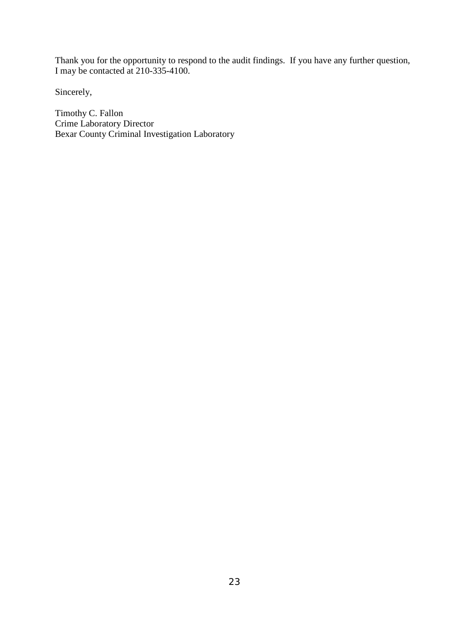Thank you for the opportunity to respond to the audit findings. If you have any further question, I may be contacted at 210-335-4100.

Sincerely,

Timothy C. Fallon Crime Laboratory Director Bexar County Criminal Investigation Laboratory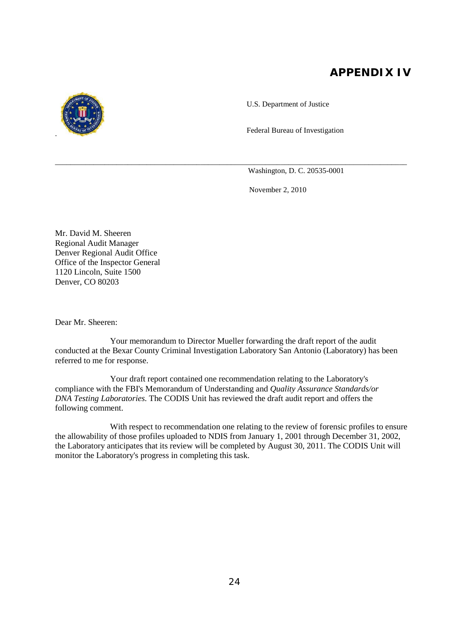# **APPENDIX IV**

U.S. Department of Justice

Federal Bureau of Investigation

Washington, D. C. 20535-0001

November 2, 2010

Mr. David M. Sheeren Regional Audit Manager Denver Regional Audit Office Office of the Inspector General 1120 Lincoln, Suite 1500 Denver, CO 80203

Dear Mr. Sheeren:

Your memorandum to Director Mueller forwarding the draft report of the audit conducted at the Bexar County Criminal Investigation Laboratory San Antonio (Laboratory) has been referred to me for response.

\_\_\_\_\_\_\_\_\_\_\_\_\_\_\_\_\_\_\_\_\_\_\_\_\_\_\_\_\_\_\_\_\_\_\_\_\_\_\_\_\_\_\_\_\_\_\_\_\_\_\_\_\_\_\_\_\_\_\_\_\_\_\_\_\_\_\_\_\_\_\_\_\_\_\_\_\_\_\_\_\_\_\_\_\_\_\_\_\_\_\_\_

Your draft report contained one recommendation relating to the Laboratory's compliance with the FBI's Memorandum of Understanding and *Quality Assurance Standards/or DNA Testing Laboratories.* The CODIS Unit has reviewed the draft audit report and offers the following comment.

With respect to recommendation one relating to the review of forensic profiles to ensure the allowability of those profiles uploaded to NDIS from January 1, 2001 through December 31, 2002, the Laboratory anticipates that its review will be completed by August 30, 2011. The CODIS Unit will monitor the Laboratory's progress in completing this task.

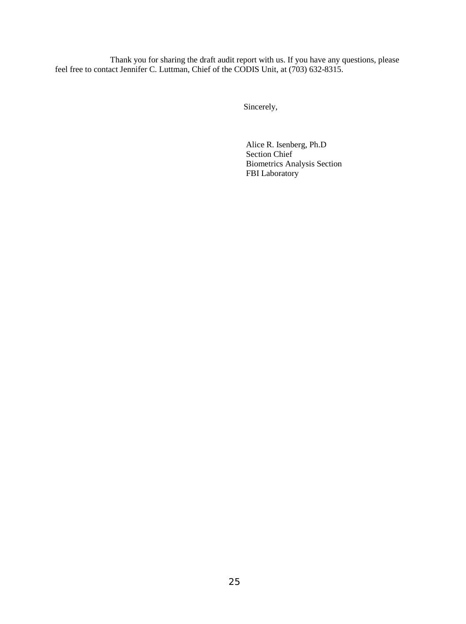Thank you for sharing the draft audit report with us. If you have any questions, please feel free to contact Jennifer C. Luttman, Chief of the CODIS Unit, at (703) 632-8315.

Sincerely,

Alice R. Isenberg, Ph.D Section Chief Biometrics Analysis Section FBI Laboratory